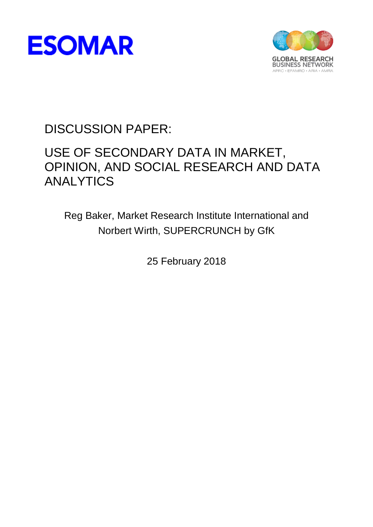



DISCUSSION PAPER:

# USE OF SECONDARY DATA IN MARKET, OPINION, AND SOCIAL RESEARCH AND DATA ANALYTICS

Reg Baker, Market Research Institute International and Norbert Wirth, SUPERCRUNCH by GfK

25 February 2018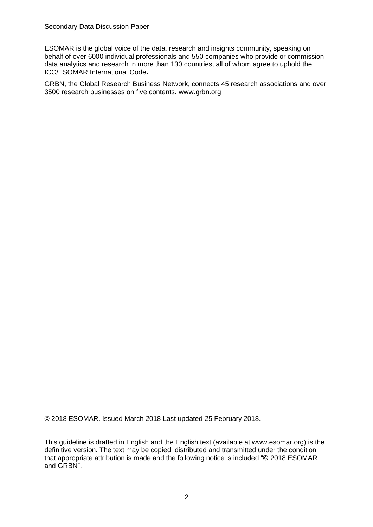ESOMAR is the global voice of the data, research and insights community, speaking on behalf of over 6000 individual professionals and 550 companies who provide or commission data analytics and research in more than 130 countries, all of whom agree to uphold the ICC/ESOMAR International Code**.** 

GRBN, the Global Research Business Network, connects 45 research associations and over 3500 research businesses on five contents. www.grbn.org

© 2018 ESOMAR. Issued March 2018 Last updated 25 February 2018.

This guideline is drafted in English and the English text (available at www.esomar.org) is the definitive version. The text may be copied, distributed and transmitted under the condition that appropriate attribution is made and the following notice is included "© 2018 ESOMAR and GRBN".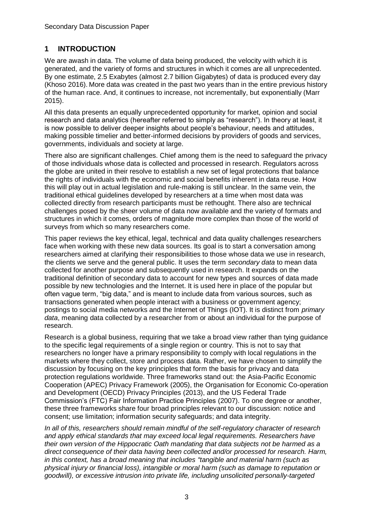#### **1 INTRODUCTION**

We are awash in data. The volume of data being produced, the velocity with which it is generated, and the variety of forms and structures in which it comes are all unprecedented. By one estimate, 2.5 Exabytes (almost 2.7 billion Gigabytes) of data is produced every day (Khoso 2016). More data was created in the past two years than in the entire previous history of the human race. And, it continues to increase, not incrementally, but exponentially (Marr 2015).

All this data presents an equally unprecedented opportunity for market, opinion and social research and data analytics (hereafter referred to simply as "research"). In theory at least, it is now possible to deliver deeper insights about people's behaviour, needs and attitudes, making possible timelier and better-informed decisions by providers of goods and services, governments, individuals and society at large.

There also are significant challenges. Chief among them is the need to safeguard the privacy of those individuals whose data is collected and processed in research. Regulators across the globe are united in their resolve to establish a new set of legal protections that balance the rights of individuals with the economic and social benefits inherent in data reuse. How this will play out in actual legislation and rule-making is still unclear. In the same vein, the traditional ethical guidelines developed by researchers at a time when most data was collected directly from research participants must be rethought. There also are technical challenges posed by the sheer volume of data now available and the variety of formats and structures in which it comes, orders of magnitude more complex than those of the world of surveys from which so many researchers come.

This paper reviews the key ethical, legal, technical and data quality challenges researchers face when working with these new data sources. Its goal is to start a conversation among researchers aimed at clarifying their responsibilities to those whose data we use in research, the clients we serve and the general public. It uses the term *secondary data* to mean data collected for another purpose and subsequently used in research. It expands on the traditional definition of secondary data to account for new types and sources of data made possible by new technologies and the Internet. It is used here in place of the popular but often vague term, "big data," and is meant to include data from various sources, such as transactions generated when people interact with a business or government agency; postings to social media networks and the Internet of Things (IOT). It is distinct from *primary data*, meaning data collected by a researcher from or about an individual for the purpose of research.

Research is a global business, requiring that we take a broad view rather than tying guidance to the specific legal requirements of a single region or country. This is not to say that researchers no longer have a primary responsibility to comply with local regulations in the markets where they collect, store and process data. Rather, we have chosen to simplify the discussion by focusing on the key principles that form the basis for privacy and data protection regulations worldwide. Three frameworks stand out: the Asia-Pacific Economic Cooperation (APEC) Privacy Framework (2005), the Organisation for Economic Co-operation and Development (OECD) Privacy Principles (2013), and the US Federal Trade Commission's (FTC) Fair Information Practice Principles (2007). To one degree or another, these three frameworks share four broad principles relevant to our discussion: notice and consent; use limitation; information security safeguards; and data integrity.

*In all of this, researchers should remain mindful of the self-regulatory character of research and apply ethical standards that may exceed local legal requirements. Researchers have their own version of the Hippocratic Oath mandating that data subjects not be harmed as a direct consequence of their data having been collected and/or processed for research. Harm, in this context, has a broad meaning that includes "tangible and material harm (such as physical injury or financial loss), intangible or moral harm (such as damage to reputation or goodwill), or excessive intrusion into private life, including unsolicited personally-targeted*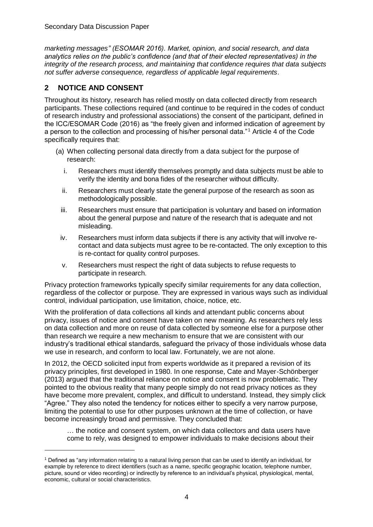*marketing messages" (ESOMAR 2016). Market, opinion, and social research, and data analytics relies on the public's confidence (and that of their elected representatives) in the integrity of the research process, and maintaining that confidence requires that data subjects not suffer adverse consequence, regardless of applicable legal requirements.* 

# **2 NOTICE AND CONSENT**

Throughout its history, research has relied mostly on data collected directly from research participants. These collections required (and continue to be required in the codes of conduct of research industry and professional associations) the consent of the participant, defined in the ICC/ESOMAR Code (2016) as "the freely given and informed indication of agreement by a person to the collection and processing of his/her personal data."<sup>1</sup> Article 4 of the Code specifically requires that:

- (a) When collecting personal data directly from a data subject for the purpose of research:
	- i. Researchers must identify themselves promptly and data subjects must be able to verify the identity and bona fides of the researcher without difficulty.
	- ii. Researchers must clearly state the general purpose of the research as soon as methodologically possible.
	- iii. Researchers must ensure that participation is voluntary and based on information about the general purpose and nature of the research that is adequate and not misleading.
	- iv. Researchers must inform data subjects if there is any activity that will involve recontact and data subjects must agree to be re-contacted. The only exception to this is re-contact for quality control purposes.
	- v. Researchers must respect the right of data subjects to refuse requests to participate in research.

Privacy protection frameworks typically specify similar requirements for any data collection, regardless of the collector or purpose. They are expressed in various ways such as individual control, individual participation, use limitation, choice, notice, etc.

With the proliferation of data collections all kinds and attendant public concerns about privacy, issues of notice and consent have taken on new meaning. As researchers rely less on data collection and more on reuse of data collected by someone else for a purpose other than research we require a new mechanism to ensure that we are consistent with our industry's traditional ethical standards, safeguard the privacy of those individuals whose data we use in research, and conform to local law. Fortunately, we are not alone.

In 2012, the OECD solicited input from experts worldwide as it prepared a revision of its privacy principles, first developed in 1980. In one response, Cate and Mayer-Schönberger (2013) argued that the traditional reliance on notice and consent is now problematic. They pointed to the obvious reality that many people simply do not read privacy notices as they have become more prevalent, complex, and difficult to understand. Instead, they simply click "Agree." They also noted the tendency for notices either to specify a very narrow purpose, limiting the potential to use for other purposes unknown at the time of collection, or have become increasingly broad and permissive. They concluded that:

… the notice and consent system, on which data collectors and data users have come to rely, was designed to empower individuals to make decisions about their

<sup>1</sup> Defined as "any information relating to a natural living person that can be used to identify an individual, for example by reference to direct identifiers (such as a name, specific geographic location, telephone number, picture, sound or video recording) or indirectly by reference to an individual's physical, physiological, mental, economic, cultural or social characteristics.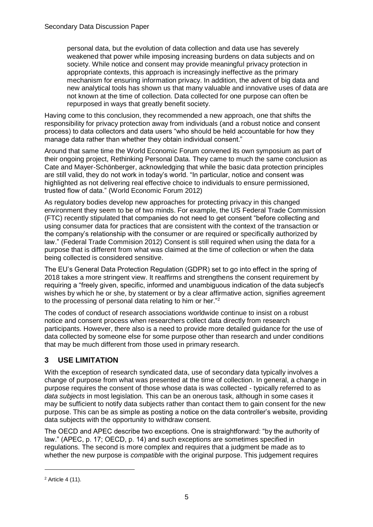personal data, but the evolution of data collection and data use has severely weakened that power while imposing increasing burdens on data subjects and on society. While notice and consent may provide meaningful privacy protection in appropriate contexts, this approach is increasingly ineffective as the primary mechanism for ensuring information privacy. In addition, the advent of big data and new analytical tools has shown us that many valuable and innovative uses of data are not known at the time of collection. Data collected for one purpose can often be repurposed in ways that greatly benefit society.

Having come to this conclusion, they recommended a new approach, one that shifts the responsibility for privacy protection away from individuals (and a robust notice and consent process) to data collectors and data users "who should be held accountable for how they manage data rather than whether they obtain individual consent."

Around that same time the World Economic Forum convened its own symposium as part of their ongoing project, Rethinking Personal Data. They came to much the same conclusion as Cate and Mayer-Schönberger, acknowledging that while the basic data protection principles are still valid, they do not work in today's world. "In particular, notice and consent was highlighted as not delivering real effective choice to individuals to ensure permissioned, trusted flow of data." (World Economic Forum 2012)

As regulatory bodies develop new approaches for protecting privacy in this changed environment they seem to be of two minds. For example, the US Federal Trade Commission (FTC) recently stipulated that companies do not need to get consent "before collecting and using consumer data for practices that are consistent with the context of the transaction or the company's relationship with the consumer or are required or specifically authorized by law." (Federal Trade Commision 2012) Consent is still required when using the data for a purpose that is different from what was claimed at the time of collection or when the data being collected is considered sensitive.

The EU's General Data Protection Regulation (GDPR) set to go into effect in the spring of 2018 takes a more stringent view. It reaffirms and strengthens the consent requirement by requiring a "freely given, specific, informed and unambiguous indication of the data subject's wishes by which he or she, by statement or by a clear affirmative action, signifies agreement to the processing of personal data relating to him or her."<sup>2</sup>

The codes of conduct of research associations worldwide continue to insist on a robust notice and consent process when researchers collect data directly from research participants. However, there also is a need to provide more detailed guidance for the use of data collected by someone else for some purpose other than research and under conditions that may be much different from those used in primary research.

## **3 USE LIMITATION**

With the exception of research syndicated data, use of secondary data typically involves a change of purpose from what was presented at the time of collection. In general, a change in purpose requires the consent of those whose data is was collected - typically referred to as *data subjects* in most legislation. This can be an onerous task, although in some cases it may be sufficient to notify data subjects rather than contact them to gain consent for the new purpose. This can be as simple as posting a notice on the data controller's website, providing data subjects with the opportunity to withdraw consent.

The OECD and APEC describe two exceptions. One is straightforward: "by the authority of law." (APEC, p. 17; OECD, p. 14) and such exceptions are sometimes specified in regulations. The second is more complex and requires that a judgment be made as to whether the new purpose is *compatible* with the original purpose. This judgement requires

<sup>2</sup> Article 4 (11).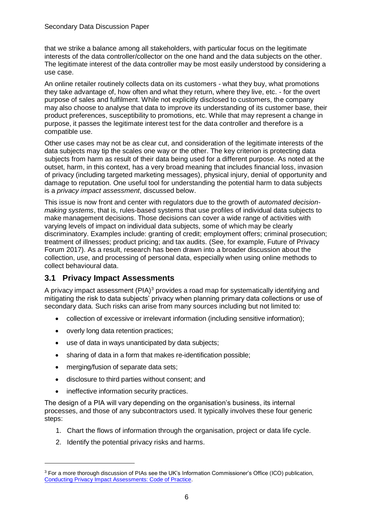that we strike a balance among all stakeholders, with particular focus on the legitimate interests of the data controller/collector on the one hand and the data subjects on the other. The legitimate interest of the data controller may be most easily understood by considering a use case.

An online retailer routinely collects data on its customers - what they buy, what promotions they take advantage of, how often and what they return, where they live, etc. - for the overt purpose of sales and fulfilment. While not explicitly disclosed to customers, the company may also choose to analyse that data to improve its understanding of its customer base, their product preferences, susceptibility to promotions, etc. While that may represent a change in purpose, it passes the legitimate interest test for the data controller and therefore is a compatible use.

Other use cases may not be as clear cut, and consideration of the legitimate interests of the data subjects may tip the scales one way or the other. The key criterion is protecting data subjects from harm as result of their data being used for a different purpose. As noted at the outset, harm, in this context, has a very broad meaning that includes financial loss, invasion of privacy (including targeted marketing messages), physical injury, denial of opportunity and damage to reputation. One useful tool for understanding the potential harm to data subjects is a *privacy impact assessment*, discussed below.

This issue is now front and center with regulators due to the growth of *automated decisionmaking systems*, that is, rules-based systems that use profiles of individual data subjects to make management decisions. Those decisions can cover a wide range of activities with varying levels of impact on individual data subjects, some of which may be clearly discriminatory. Examples include: granting of credit; employment offers; criminal prosecution; treatment of illnesses; product pricing; and tax audits. (See, for example, Future of Privacy Forum 2017). As a result, research has been drawn into a broader discussion about the collection, use, and processing of personal data, especially when using online methods to collect behavioural data.

# **3.1 Privacy Impact Assessments**

A privacy impact assessment (PIA)<sup>3</sup> provides a road map for systematically identifying and mitigating the risk to data subjects' privacy when planning primary data collections or use of secondary data. Such risks can arise from many sources including but not limited to:

- collection of excessive or irrelevant information (including sensitive information);
- overly long data retention practices;
- use of data in ways unanticipated by data subjects;
- sharing of data in a form that makes re-identification possible:
- merging/fusion of separate data sets:
- disclosure to third parties without consent; and
- ineffective information security practices.

The design of a PIA will vary depending on the organisation's business, its internal processes, and those of any subcontractors used. It typically involves these four generic steps:

- 1. Chart the flows of information through the organisation, project or data life cycle.
- 2. Identify the potential privacy risks and harms.

 $\overline{a}$ 

<sup>&</sup>lt;sup>3</sup> For a more thorough discussion of PIAs see the UK's Information Commissioner's Office (ICO) publication, [Conducting Privacy Impact Assessments: Code of Practice.](https://ico.org.uk/media/for-organisations/documents/1595/pia-code-of-practice.pdf)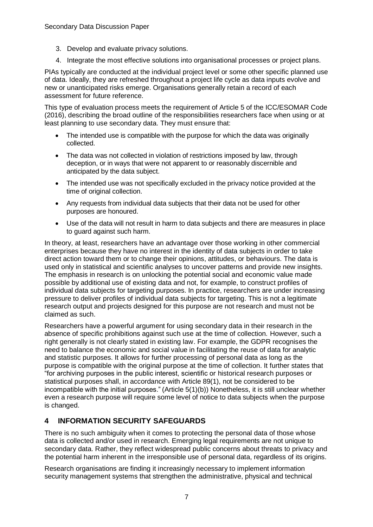- 3. Develop and evaluate privacy solutions.
- 4. Integrate the most effective solutions into organisational processes or project plans.

PIAs typically are conducted at the individual project level or some other specific planned use of data. Ideally, they are refreshed throughout a project life cycle as data inputs evolve and new or unanticipated risks emerge. Organisations generally retain a record of each assessment for future reference.

This type of evaluation process meets the requirement of Article 5 of the ICC/ESOMAR Code (2016), describing the broad outline of the responsibilities researchers face when using or at least planning to use secondary data. They must ensure that:

- The intended use is compatible with the purpose for which the data was originally collected.
- The data was not collected in violation of restrictions imposed by law, through deception, or in ways that were not apparent to or reasonably discernible and anticipated by the data subject.
- The intended use was not specifically excluded in the privacy notice provided at the time of original collection.
- Any requests from individual data subjects that their data not be used for other purposes are honoured.
- Use of the data will not result in harm to data subjects and there are measures in place to guard against such harm.

In theory, at least, researchers have an advantage over those working in other commercial enterprises because they have no interest in the identity of data subjects in order to take direct action toward them or to change their opinions, attitudes, or behaviours. The data is used only in statistical and scientific analyses to uncover patterns and provide new insights. The emphasis in research is on unlocking the potential social and economic value made possible by additional use of existing data and not, for example, to construct profiles of individual data subjects for targeting purposes. In practice, researchers are under increasing pressure to deliver profiles of individual data subjects for targeting. This is not a legitimate research output and projects designed for this purpose are not research and must not be claimed as such.

Researchers have a powerful argument for using secondary data in their research in the absence of specific prohibitions against such use at the time of collection. However, such a right generally is not clearly stated in existing law. For example, the GDPR recognises the need to balance the economic and social value in facilitating the reuse of data for analytic and statistic purposes. It allows for further processing of personal data as long as the purpose is compatible with the original purpose at the time of collection. It further states that "for archiving purposes in the public interest, scientific or historical research purposes or statistical purposes shall, in accordance with Article 89(1), not be considered to be incompatible with the initial purposes." (Article 5(1)(b)) Nonetheless, it is still unclear whether even a research purpose will require some level of notice to data subjects when the purpose is changed.

## **4 INFORMATION SECURITY SAFEGUARDS**

There is no such ambiguity when it comes to protecting the personal data of those whose data is collected and/or used in research. Emerging legal requirements are not unique to secondary data. Rather, they reflect widespread public concerns about threats to privacy and the potential harm inherent in the irresponsible use of personal data, regardless of its origins.

Research organisations are finding it increasingly necessary to implement information security management systems that strengthen the administrative, physical and technical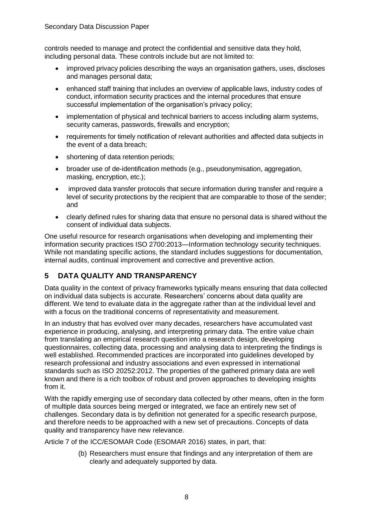controls needed to manage and protect the confidential and sensitive data they hold, including personal data. These controls include but are not limited to:

- improved privacy policies describing the ways an organisation gathers, uses, discloses and manages personal data;
- enhanced staff training that includes an overview of applicable laws, industry codes of conduct, information security practices and the internal procedures that ensure successful implementation of the organisation's privacy policy;
- implementation of physical and technical barriers to access including alarm systems, security cameras, passwords, firewalls and encryption;
- requirements for timely notification of relevant authorities and affected data subjects in the event of a data breach;
- shortening of data retention periods;
- broader use of de-identification methods (e.g., pseudonymisation, aggregation, masking, encryption, etc.);
- improved data transfer protocols that secure information during transfer and require a level of security protections by the recipient that are comparable to those of the sender; and
- clearly defined rules for sharing data that ensure no personal data is shared without the consent of individual data subjects.

One useful resource for research organisations when developing and implementing their information security practices ISO 2700:2013—Information technology security techniques. While not mandating specific actions, the standard includes suggestions for documentation, internal audits, continual improvement and corrective and preventive action.

#### **5 DATA QUALITY AND TRANSPARENCY**

Data quality in the context of privacy frameworks typically means ensuring that data collected on individual data subjects is accurate. Researchers' concerns about data quality are different. We tend to evaluate data in the aggregate rather than at the individual level and with a focus on the traditional concerns of representativity and measurement.

In an industry that has evolved over many decades, researchers have accumulated vast experience in producing, analysing, and interpreting primary data. The entire value chain from translating an empirical research question into a research design, developing questionnaires, collecting data, processing and analysing data to interpreting the findings is well established. Recommended practices are incorporated into guidelines developed by research professional and industry associations and even expressed in international standards such as ISO 20252:2012. The properties of the gathered primary data are well known and there is a rich toolbox of robust and proven approaches to developing insights from it.

With the rapidly emerging use of secondary data collected by other means, often in the form of multiple data sources being merged or integrated, we face an entirely new set of challenges. Secondary data is by definition not generated for a specific research purpose, and therefore needs to be approached with a new set of precautions. Concepts of data quality and transparency have new relevance.

Article 7 of the ICC/ESOMAR Code (ESOMAR 2016) states, in part, that:

(b) Researchers must ensure that findings and any interpretation of them are clearly and adequately supported by data.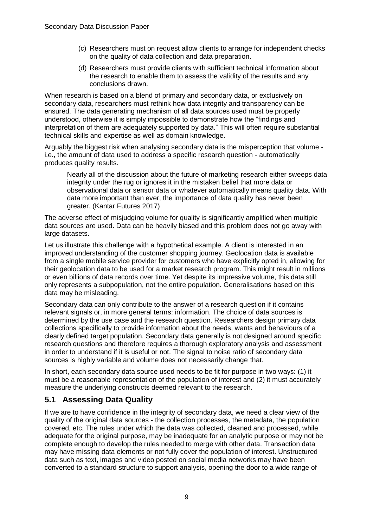- (c) Researchers must on request allow clients to arrange for independent checks on the quality of data collection and data preparation.
- (d) Researchers must provide clients with sufficient technical information about the research to enable them to assess the validity of the results and any conclusions drawn.

When research is based on a blend of primary and secondary data, or exclusively on secondary data, researchers must rethink how data integrity and transparency can be ensured. The data generating mechanism of all data sources used must be properly understood, otherwise it is simply impossible to demonstrate how the "findings and interpretation of them are adequately supported by data." This will often require substantial technical skills and expertise as well as domain knowledge.

Arguably the biggest risk when analysing secondary data is the misperception that volume i.e., the amount of data used to address a specific research question - automatically produces quality results.

Nearly all of the discussion about the future of marketing research either sweeps data integrity under the rug or ignores it in the mistaken belief that more data or observational data or sensor data or whatever automatically means quality data. With data more important than ever, the importance of data quality has never been greater. (Kantar Futures 2017)

The adverse effect of misjudging volume for quality is significantly amplified when multiple data sources are used. Data can be heavily biased and this problem does not go away with large datasets.

Let us illustrate this challenge with a hypothetical example. A client is interested in an improved understanding of the customer shopping journey. Geolocation data is available from a single mobile service provider for customers who have explicitly opted in, allowing for their geolocation data to be used for a market research program. This might result in millions or even billions of data records over time. Yet despite its impressive volume, this data still only represents a subpopulation, not the entire population. Generalisations based on this data may be misleading.

Secondary data can only contribute to the answer of a research question if it contains relevant signals or, in more general terms: information. The choice of data sources is determined by the use case and the research question. Researchers design primary data collections specifically to provide information about the needs, wants and behaviours of a clearly defined target population. Secondary data generally is not designed around specific research questions and therefore requires a thorough exploratory analysis and assessment in order to understand if it is useful or not. The signal to noise ratio of secondary data sources is highly variable and volume does not necessarily change that.

In short, each secondary data source used needs to be fit for purpose in two ways: (1) it must be a reasonable representation of the population of interest and (2) it must accurately measure the underlying constructs deemed relevant to the research.

## **5.1 Assessing Data Quality**

If we are to have confidence in the integrity of secondary data, we need a clear view of the quality of the original data sources - the collection processes, the metadata, the population covered, etc. The rules under which the data was collected, cleaned and processed, while adequate for the original purpose, may be inadequate for an analytic purpose or may not be complete enough to develop the rules needed to merge with other data. Transaction data may have missing data elements or not fully cover the population of interest. Unstructured data such as text, images and video posted on social media networks may have been converted to a standard structure to support analysis, opening the door to a wide range of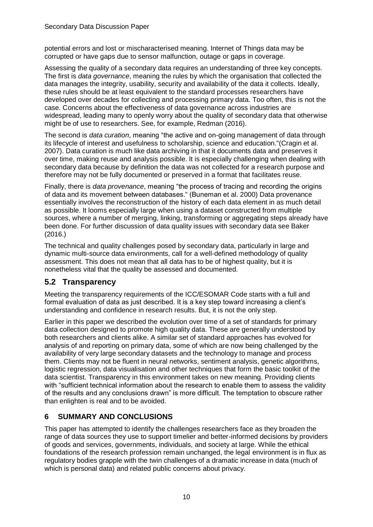potential errors and lost or mischaracterised meaning. Internet of Things data may be corrupted or have gaps due to sensor malfunction, outage or gaps in coverage.

Assessing the quality of a secondary data requires an understanding of three key concepts. The first is *data governance*, meaning the rules by which the organisation that collected the data manages the integrity, usability, security and availability of the data it collects. Ideally, these rules should be at least equivalent to the standard processes researchers have developed over decades for collecting and processing primary data. Too often, this is not the case. Concerns about the effectiveness of data governance across industries are widespread, leading many to openly worry about the quality of secondary data that otherwise might be of use to researchers. See, for example, Redman (2016).

The second is *data curation*, meaning "the active and on-going management of data through its lifecycle of interest and usefulness to scholarship, science and education."(Cragin et al. 2007). Data curation is much like data archiving in that it documents data and preserves it over time, making reuse and analysis possible. It is especially challenging when dealing with secondary data because by definition the data was not collected for a research purpose and therefore may not be fully documented or preserved in a format that facilitates reuse.

Finally, there is *data provenance*, meaning "the process of tracing and recording the origins of data and its movement between databases." (Buneman et al. 2000) Data provenance essentially involves the reconstruction of the history of each data element in as much detail as possible. It looms especially large when using a dataset constructed from multiple sources, where a number of merging, linking, transforming or aggregating steps already have been done. For further discussion of data quality issues with secondary data see Baker (2016.)

The technical and quality challenges posed by secondary data, particularly in large and dynamic multi-source data environments, call for a well-defined methodology of quality assessment. This does not mean that all data has to be of highest quality, but it is nonetheless vital that the quality be assessed and documented.

## **5.2 Transparency**

Meeting the transparency requirements of the ICC/ESOMAR Code starts with a full and formal evaluation of data as just described. It is a key step toward increasing a client's understanding and confidence in research results. But, it is not the only step.

Earlier in this paper we described the evolution over time of a set of standards for primary data collection designed to promote high quality data. These are generally understood by both researchers and clients alike. A similar set of standard approaches has evolved for analysis of and reporting on primary data, some of which are now being challenged by the availability of very large secondary datasets and the technology to manage and process them. Clients may not be fluent in neural networks, sentiment analysis, genetic algorithms, logistic regression, data visualisation and other techniques that form the basic toolkit of the data scientist. Transparency in this environment takes on new meaning. Providing clients with "sufficient technical information about the research to enable them to assess the validity of the results and any conclusions drawn" is more difficult. The temptation to obscure rather than enlighten is real and to be avoided.

# **6 SUMMARY AND CONCLUSIONS**

This paper has attempted to identify the challenges researchers face as they broaden the range of data sources they use to support timelier and better-informed decisions by providers of goods and services, governments, individuals, and society at large. While the ethical foundations of the research profession remain unchanged, the legal environment is in flux as regulatory bodies grapple with the twin challenges of a dramatic increase in data (much of which is personal data) and related public concerns about privacy.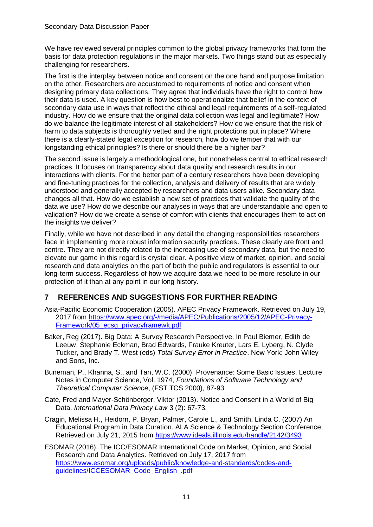We have reviewed several principles common to the global privacy frameworks that form the basis for data protection regulations in the major markets. Two things stand out as especially challenging for researchers.

The first is the interplay between notice and consent on the one hand and purpose limitation on the other. Researchers are accustomed to requirements of notice and consent when designing primary data collections. They agree that individuals have the right to control how their data is used. A key question is how best to operationalize that belief in the context of secondary data use in ways that reflect the ethical and legal requirements of a self-regulated industry. How do we ensure that the original data collection was legal and legitimate? How do we balance the legitimate interest of all stakeholders? How do we ensure that the risk of harm to data subjects is thoroughly vetted and the right protections put in place? Where there is a clearly-stated legal exception for research, how do we temper that with our longstanding ethical principles? Is there or should there be a higher bar?

The second issue is largely a methodological one, but nonetheless central to ethical research practices. It focuses on transparency about data quality and research results in our interactions with clients. For the better part of a century researchers have been developing and fine-tuning practices for the collection, analysis and delivery of results that are widely understood and generally accepted by researchers and data users alike. Secondary data changes all that. How do we establish a new set of practices that validate the quality of the data we use? How do we describe our analyses in ways that are understandable and open to validation? How do we create a sense of comfort with clients that encourages them to act on the insights we deliver?

Finally, while we have not described in any detail the changing responsibilities researchers face in implementing more robust information security practices. These clearly are front and centre. They are not directly related to the increasing use of secondary data, but the need to elevate our game in this regard is crystal clear. A positive view of market, opinion, and social research and data analytics on the part of both the public and regulators is essential to our long-term success. Regardless of how we acquire data we need to be more resolute in our protection of it than at any point in our long history.

#### **7 REFERENCES AND SUGGESTIONS FOR FURTHER READING**

- Asia-Pacific Economic Cooperation (2005). APEC Privacy Framework. Retrieved on July 19, 2017 from [https://www.apec.org/-/media/APEC/Publications/2005/12/APEC-Privacy-](https://www.apec.org/-/media/APEC/Publications/2005/12/APEC-Privacy-Framework/05_ecsg_privacyframewk.pdf)[Framework/05\\_ecsg\\_privacyframewk.pdf](https://www.apec.org/-/media/APEC/Publications/2005/12/APEC-Privacy-Framework/05_ecsg_privacyframewk.pdf)
- Baker, Reg (2017). Big Data: A Survey Research Perspective. In Paul Biemer, Edith de Leeuw, Stephanie Eckman, Brad Edwards, Frauke Kreuter, Lars E. Lyberg, N. Clyde Tucker, and Brady T. West (eds) *Total Survey Error in Practice*. New York: John Wiley and Sons, Inc.
- Buneman, P., Khanna, S., and Tan, W.C. (2000). Provenance: Some Basic Issues. Lecture Notes in Computer Science, Vol. 1974, *Foundations of Software Technology and Theoretical Computer Science*, (FST TCS 2000), 87-93.
- Cate, Fred and Mayer-Schönberger, Viktor (2013). Notice and Consent in a World of Big Data. *International Data Privacy Law* 3 (2): 67-73.
- Cragin, Melissa H., Heidorn, P. Bryan, Palmer, Carole L., and Smith, Linda C. (2007) An Educational Program in Data Curation. ALA Science & Technology Section Conference, Retrieved on July 21, 2015 from<https://www.ideals.illinois.edu/handle/2142/3493>
- ESOMAR (2016). The ICC/ESOMAR International Code on Market, Opinion, and Social Research and Data Analytics. Retrieved on July 17, 2017 from [https://www.esomar.org/uploads/public/knowledge-and-standards/codes-and](https://www.esomar.org/uploads/public/knowledge-and-standards/codes-and-guidelines/ICCESOMAR_Code_English_.pdf)[guidelines/ICCESOMAR\\_Code\\_English\\_.pdf](https://www.esomar.org/uploads/public/knowledge-and-standards/codes-and-guidelines/ICCESOMAR_Code_English_.pdf)